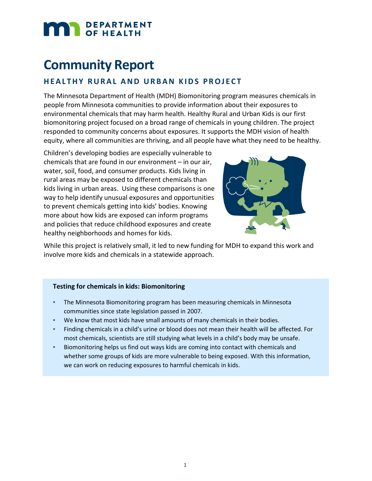# DEPARTMENT

## **Community Report**

#### **HEALTHY RURAL AND URBAN KIDS PROJECT**

The Minnesota Department of Health (MDH) Biomonitoring program measures chemicals in people from Minnesota communities to provide information about their exposures to environmental chemicals that may harm health. Healthy Rural and Urban Kids is our first biomonitoring project focused on a broad range of chemicals in young children. The project responded to community concerns about exposures. It supports the MDH vision of health equity, where all communities are thriving, and all people have what they need to be healthy.

Children's developing bodies are especially vulnerable to chemicals that are found in our environment – in our air, water, soil, food, and consumer products. Kids living in rural areas may be exposed to different chemicals than kids living in urban areas. Using these comparisons is one way to help identify unusual exposures and opportunities to prevent chemicals getting into kids' bodies. Knowing more about how kids are exposed can inform programs and policies that reduce childhood exposures and create healthy neighborhoods and homes for kids.



While this project is relatively small, it led to new funding for MDH to expand this work and involve more kids and chemicals in a statewide approach.

#### **Testing for chemicals in kids: Biomonitoring**

- **The Minnesota Biomonitoring program has been measuring chemicals in Minnesota** communities since state legislation passed in 2007.
- We know that most kids have small amounts of many chemicals in their bodies.
- Finding chemicals in a child's urine or blood does not mean their health will be affected. For most chemicals, scientists are still studying what levels in a child's body may be unsafe.
- **EXEDENT BIOMONITORY IS A BIOMONICALLY** BIOMONICALS and BIOMONIC U.S. Since  $\frac{1}{2}$  and BIOMONICAL and whether some groups of kids are more vulnerable to being exposed. With this information, we can work on reducing exposures to harmful chemicals in kids.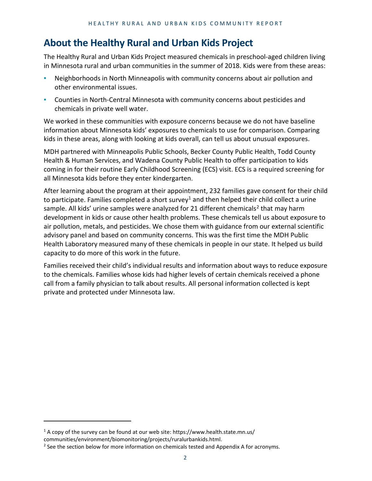## **About the Healthy Rural and Urban Kids Project**

The Healthy Rural and Urban Kids Project measured chemicals in preschool-aged children living in Minnesota rural and urban communities in the summer of 2018. Kids were from these areas:

- Neighborhoods in North Minneapolis with community concerns about air pollution and other environmental issues.
- Counties in North-Central Minnesota with community concerns about pesticides and chemicals in private well water.

We worked in these communities with exposure concerns because we do not have baseline information about Minnesota kids' exposures to chemicals to use for comparison. Comparing kids in these areas, along with looking at kids overall, can tell us about unusual exposures.

MDH partnered with Minneapolis Public Schools, Becker County Public Health, Todd County Health & Human Services, and Wadena County Public Health to offer participation to kids coming in for their routine Early Childhood Screening (ECS) visit. ECS is a required screening for all Minnesota kids before they enter kindergarten.

After learning about the program at their appointment, 232 families gave consent for their child to participate. Families completed a short survey<sup>1</sup> and then helped their child collect a urine sample. All kids' urine samples were analyzed for [2](#page-1-1)1 different chemicals<sup>2</sup> that may harm development in kids or cause other health problems. These chemicals tell us about exposure to air pollution, metals, and pesticides. We chose them with guidance from our external scientific advisory panel and based on community concerns. This was the first time the MDH Public Health Laboratory measured many of these chemicals in people in our state. It helped us build capacity to do more of this work in the future.

Families received their child's individual results and information about ways to reduce exposure to the chemicals. Families whose kids had higher levels of certain chemicals received a phone call from a family physician to talk about results. All personal information collected is kept private and protected under Minnesota law.

<span id="page-1-0"></span><sup>&</sup>lt;sup>1</sup> A copy of the survey can be found at our web site: https://www.health.state.mn.us/

<span id="page-1-1"></span>[communities/environment/biomonitoring/projects/ruralurbankids.html.](http://www.health.state.mn.us/biomonitoring)

<sup>&</sup>lt;sup>2</sup> See the section below for more information on chemicals tested and Appendix A for acronyms.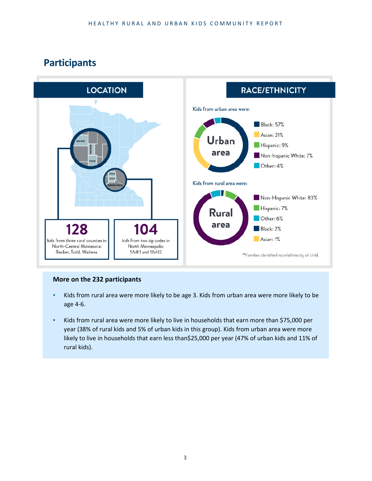## **Participants**



#### **More on the 232 participants**

- Kids from rural area were more likely to be age 3. Kids from urban area were more likely to be age 4-6.
- Kids from rural area were more likely to live in households that earn more than \$75,000 per year (38% of rural kids and 5% of urban kids in this group). Kids from urban area were more likely to live in households that earn less than\$25,000 per year (47% of urban kids and 11% of rural kids).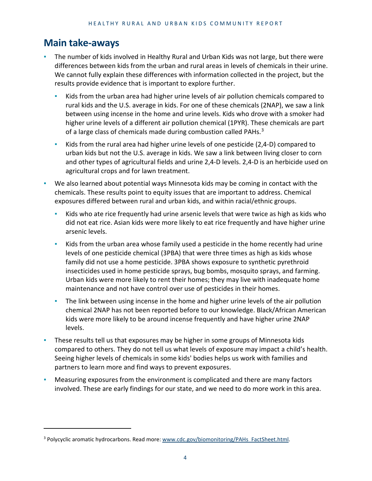## **Main take-aways**

- The number of kids involved in Healthy Rural and Urban Kids was not large, but there were differences between kids from the urban and rural areas in levels of chemicals in their urine. We cannot fully explain these differences with information collected in the project, but the results provide evidence that is important to explore further.
	- Kids from the urban area had higher urine levels of air pollution chemicals compared to rural kids and the U.S. average in kids. For one of these chemicals (2NAP), we saw a link between using incense in the home and urine levels. Kids who drove with a smoker had higher urine levels of a different air pollution chemical (1PYR). These chemicals are part of a large class of chemicals made during combustion called PAHs. $3$
	- Kids from the rural area had higher urine levels of one pesticide (2,4-D) compared to urban kids but not the U.S. average in kids. We saw a link between living closer to corn and other types of agricultural fields and urine 2,4-D levels. 2,4-D is an herbicide used on agricultural crops and for lawn treatment.
- We also learned about potential ways Minnesota kids may be coming in contact with the chemicals. These results point to equity issues that are important to address. Chemical exposures differed between rural and urban kids, and within racial/ethnic groups.
	- Kids who ate rice frequently had urine arsenic levels that were twice as high as kids who did not eat rice. Asian kids were more likely to eat rice frequently and have higher urine arsenic levels.
	- Kids from the urban area whose family used a pesticide in the home recently had urine levels of one pesticide chemical (3PBA) that were three times as high as kids whose family did not use a home pesticide. 3PBA shows exposure to synthetic pyrethroid insecticides used in home pesticide sprays, bug bombs, mosquito sprays, and farming. Urban kids were more likely to rent their homes; they may live with inadequate home maintenance and not have control over use of pesticides in their homes.
	- **•** The link between using incense in the home and higher urine levels of the air pollution chemical 2NAP has not been reported before to our knowledge. Black/African American kids were more likely to be around incense frequently and have higher urine 2NAP levels.
- These results tell us that exposures may be higher in some groups of Minnesota kids compared to others. They do not tell us what levels of exposure may impact a child's health. Seeing higher levels of chemicals in some kids' bodies helps us work with families and partners to learn more and find ways to prevent exposures.
- Measuring exposures from the environment is complicated and there are many factors involved. These are early findings for our state, and we need to do more work in this area.

<span id="page-3-0"></span><sup>&</sup>lt;sup>3</sup> Polycyclic aromatic hydrocarbons. Read more: www.cdc.gov/biomonitoring/PAHs\_FactSheet.html.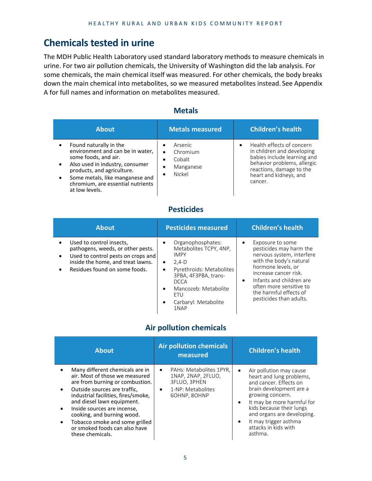## **Chemicals tested in urine**

The MDH Public Health Laboratory used standard laboratory methods to measure chemicals in urine. For two air pollution chemicals, the University of Washington did the lab analysis. For some chemicals, the main chemical itself was measured. For other chemicals, the body breaks down the main chemical into metabolites, so we measured metabolites instead. See Appendix A for full names and information on metabolites measured.

| <b>About</b>                                                                                                                                                                                                                                  | <b>Metals measured</b>                                                                                               | <b>Children's health</b>                                                                                                                                                               |
|-----------------------------------------------------------------------------------------------------------------------------------------------------------------------------------------------------------------------------------------------|----------------------------------------------------------------------------------------------------------------------|----------------------------------------------------------------------------------------------------------------------------------------------------------------------------------------|
| Found naturally in the<br>environment and can be in water,<br>some foods, and air.<br>Also used in industry, consumer<br>products, and agriculture.<br>Some metals, like manganese and<br>chromium, are essential nutrients<br>at low levels. | <b>Arsenic</b><br>$\bullet$<br>Chromium<br>$\bullet$<br>Cobalt<br>$\bullet$<br>Manganese<br>٠<br>Nickel<br>$\bullet$ | Health effects of concern<br>in children and developing<br>babies include learning and<br>behavior problems, allergic<br>reactions, damage to the<br>heart and kidneys, and<br>cancer. |

#### **Metals**

#### **Pesticides**

| <b>About</b>                                                                                                                                                                                                     | <b>Pesticides measured</b>                                                                                                                                                                                                        | <b>Children's health</b>                                                                                                                                                                                                                                                                 |
|------------------------------------------------------------------------------------------------------------------------------------------------------------------------------------------------------------------|-----------------------------------------------------------------------------------------------------------------------------------------------------------------------------------------------------------------------------------|------------------------------------------------------------------------------------------------------------------------------------------------------------------------------------------------------------------------------------------------------------------------------------------|
| Used to control insects,<br>$\bullet$<br>pathogens, weeds, or other pests.<br>Used to control pests on crops and<br>$\bullet$<br>inside the home, and treat lawns.<br>Residues found on some foods.<br>$\bullet$ | Organophosphates:<br>Metabolites TCPY, 4NP,<br><b>IMPY</b><br>$2,4-D$<br>$\bullet$<br>Pyrethroids: Metabolites<br>$\bullet$<br>3PBA, 4F3PBA, trans-<br><b>DCCA</b><br>Mancozeb: Metabolite<br>FTU<br>Carbaryl: Metabolite<br>1NAP | Exposure to some<br>$\bullet$<br>pesticides may harm the<br>nervous system, interfere<br>with the body's natural<br>hormone levels, or<br>increase cancer risk.<br>Infants and children are<br>$\bullet$<br>often more sensitive to<br>the harmful effects of<br>pesticides than adults. |

#### **Air pollution chemicals**

| <b>About</b>                                                                                                                                                                                                                                                                                                                                                  |                        | <b>Air pollution chemicals</b><br>measured                                                         |                                     | <b>Children's health</b>                                                                                                                                                                                                                                                         |
|---------------------------------------------------------------------------------------------------------------------------------------------------------------------------------------------------------------------------------------------------------------------------------------------------------------------------------------------------------------|------------------------|----------------------------------------------------------------------------------------------------|-------------------------------------|----------------------------------------------------------------------------------------------------------------------------------------------------------------------------------------------------------------------------------------------------------------------------------|
| Many different chemicals are in<br>air. Most of those we measured<br>are from burning or combustion.<br>Outside sources are traffic.<br>industrial facilities, fires/smoke,<br>and diesel lawn equipment.<br>Inside sources are incense,<br>cooking, and burning wood.<br>Tobacco smoke and some grilled<br>or smoked foods can also have<br>these chemicals. | $\bullet$<br>$\bullet$ | PAHs: Metabolites 1PYR.<br>1NAP, 2NAP, 2FLUO,<br>3FLUO, 3PHEN<br>1-NP: Metabolites<br>6OHNP, 8OHNP | $\bullet$<br>$\bullet$<br>$\bullet$ | Air pollution may cause<br>heart and lung problems,<br>and cancer. Effects on<br>brain development are a<br>growing concern.<br>It may be more harmful for<br>kids because their lungs<br>and organs are developing.<br>It may trigger asthma<br>attacks in kids with<br>asthma. |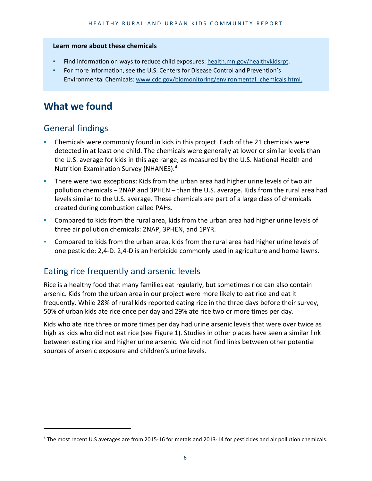#### **Learn more about these chemicals**

- Find information on ways to reduce child exposures: [health.mn.gov/healthykidsrpt.](https://health.mn.gov/healthykidsrpt)
- For more information, see the U.S. Centers for Disease Control and Prevention's Environmental Chemicals: [www.cdc.gov/biomonitoring/environmental\\_chemicals.html.](http://www.cdc.gov/biomonitoring/environmental_chemicals.html)

## **What we found**

## General findings

- Chemicals were commonly found in kids in this project. Each of the 21 chemicals were detected in at least one child. The chemicals were generally at lower or similar levels than the U.S. average for kids in this age range, as measured by the U.S. National Health and Nutrition Examination Survey (NHANES).[4](#page-5-0)
- There were two exceptions: Kids from the urban area had higher urine levels of two air pollution chemicals – 2NAP and 3PHEN – than the U.S. average. Kids from the rural area had levels similar to the U.S. average. These chemicals are part of a large class of chemicals created during combustion called PAHs.
- Compared to kids from the rural area, kids from the urban area had higher urine levels of three air pollution chemicals: 2NAP, 3PHEN, and 1PYR.
- Compared to kids from the urban area, kids from the rural area had higher urine levels of one pesticide: 2,4-D. 2,4-D is an herbicide commonly used in agriculture and home lawns.

## Eating rice frequently and arsenic levels

Rice is a healthy food that many families eat regularly, but sometimes rice can also contain arsenic. Kids from the urban area in our project were more likely to eat rice and eat it frequently. While 28% of rural kids reported eating rice in the three days before their survey, 50% of urban kids ate rice once per day and 29% ate rice two or more times per day.

Kids who ate rice three or more times per day had urine arsenic levels that were over twice as high as kids who did not eat rice (see Figure 1). Studies in other places have seen a similar link between eating rice and higher urine arsenic. We did not find links between other potential sources of arsenic exposure and children's urine levels.

<span id="page-5-0"></span><sup>4</sup> The most recent U.S averages are from 2015-16 for metals and 2013-14 for pesticides and air pollution chemicals.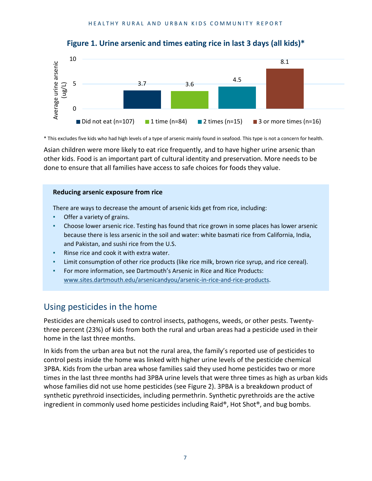

#### **Figure 1. Urine arsenic and times eating rice in last 3 days (all kids)\***

\* This excludes five kids who had high levels of a type of arsenic mainly found in seafood. This type is not a concern for health.

Asian children were more likely to eat rice frequently, and to have higher urine arsenic than other kids. Food is an important part of cultural identity and preservation. More needs to be done to ensure that all families have access to safe choices for foods they value.

#### **Reducing arsenic exposure from rice**

There are ways to decrease the amount of arsenic kids get from rice, including:

- Offer a variety of grains.
- Choose lower arsenic rice. Testing has found that rice grown in some places has lower arsenic because there is less arsenic in the soil and water: white basmati rice from California, India, and Pakistan, and sushi rice from the U.S.
- Rinse rice and cook it with extra water.
- Limit consumption of other rice products (like rice milk, brown rice syrup, and rice cereal).
- For more information, see Dartmouth's Arsenic in Rice and Rice Products: [www.sites.dartmouth.edu/arsenicandyou/arsenic-in-rice-and-rice-products.](http://www.sites.dartmouth.edu/arsenicandyou/arsenic-in-rice-and-rice-products)

#### Using pesticides in the home

Pesticides are chemicals used to control insects, pathogens, weeds, or other pests. Twentythree percent (23%) of kids from both the rural and urban areas had a pesticide used in their home in the last three months.

In kids from the urban area but not the rural area, the family's reported use of pesticides to control pests inside the home was linked with higher urine levels of the pesticide chemical 3PBA. Kids from the urban area whose families said they used home pesticides two or more times in the last three months had 3PBA urine levels that were three times as high as urban kids whose families did not use home pesticides (see Figure 2). 3PBA is a breakdown product of synthetic pyrethroid insecticides, including permethrin. Synthetic pyrethroids are the active ingredient in commonly used home pesticides including Raid®, Hot Shot®, and bug bombs.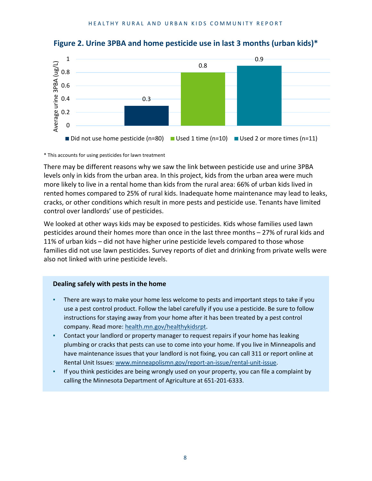

**Figure 2. Urine 3PBA and home pesticide use in last 3 months (urban kids)\***

\* This accounts for using pesticides for lawn treatment

There may be different reasons why we saw the link between pesticide use and urine 3PBA levels only in kids from the urban area. In this project, kids from the urban area were much more likely to live in a rental home than kids from the rural area: 66% of urban kids lived in rented homes compared to 25% of rural kids. Inadequate home maintenance may lead to leaks, cracks, or other conditions which result in more pests and pesticide use. Tenants have limited control over landlords' use of pesticides.

We looked at other ways kids may be exposed to pesticides. Kids whose families used lawn pesticides around their homes more than once in the last three months – 27% of rural kids and 11% of urban kids – did not have higher urine pesticide levels compared to those whose families did not use lawn pesticides. Survey reports of diet and drinking from private wells were also not linked with urine pesticide levels.

#### **Dealing safely with pests in the home**

- There are ways to make your home less welcome to pests and important steps to take if you use a pest control product. Follow the label carefully if you use a pesticide. Be sure to follow instructions for staying away from your home after it has been treated by a pest control company. Read more[: health.mn.gov/healthykidsrpt.](https://health.mn.gov/healthykidsrpt)
- Contact your landlord or property manager to request repairs if your home has leaking plumbing or cracks that pests can use to come into your home. If you live in Minneapolis and have maintenance issues that your landlord is not fixing, you can call 311 or report online at Rental Unit Issues: [www.minneapolismn.gov/report-an-issue/rental-unit-issue.](http://www.minneapolismn.gov/report-an-issue/rental-unit-issue)
- If you think pesticides are being wrongly used on your property, you can file a complaint by calling the Minnesota Department of Agriculture at 651-201-6333.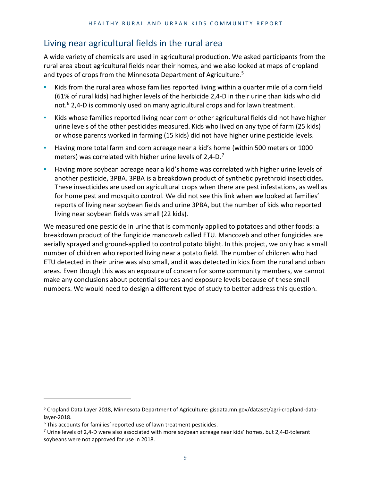## Living near agricultural fields in the rural area

A wide variety of chemicals are used in agricultural production. We asked participants from the rural area about agricultural fields near their homes, and we also looked at maps of cropland and types of crops from the Minnesota Department of Agriculture. [5](#page-8-0)

- Kids from the rural area whose families reported living within a quarter mile of a corn field (61% of rural kids) had higher levels of the herbicide 2,4-D in their urine than kids who did not.<sup>[6](#page-8-1)</sup> 2,4-D is commonly used on many agricultural crops and for lawn treatment.
- Kids whose families reported living near corn or other agricultural fields did not have higher urine levels of the other pesticides measured. Kids who lived on any type of farm (25 kids) or whose parents worked in farming (15 kids) did not have higher urine pesticide levels.
- Having more total farm and corn acreage near a kid's home (within 500 meters or 1000 meters) was correlated with higher urine levels of  $2,4$ -D.<sup>[7](#page-8-2)</sup>
- **EXECT** Having more soybean acreage near a kid's home was correlated with higher urine levels of another pesticide, 3PBA. 3PBA is a breakdown product of synthetic pyrethroid insecticides. These insecticides are used on agricultural crops when there are pest infestations, as well as for home pest and mosquito control. We did not see this link when we looked at families' reports of living near soybean fields and urine 3PBA, but the number of kids who reported living near soybean fields was small (22 kids).

We measured one pesticide in urine that is commonly applied to potatoes and other foods: a breakdown product of the fungicide mancozeb called ETU. Mancozeb and other fungicides are aerially sprayed and ground-applied to control potato blight. In this project, we only had a small number of children who reported living near a potato field. The number of children who had ETU detected in their urine was also small, and it was detected in kids from the rural and urban areas. Even though this was an exposure of concern for some community members, we cannot make any conclusions about potential sources and exposure levels because of these small numbers. We would need to design a different type of study to better address this question.

<span id="page-8-0"></span><sup>5</sup> Cropland Data Layer 2018, Minnesota Department of Agriculture: gisdata.mn.gov/dataset/agri-cropland-datalayer-2018.<br><sup>6</sup> This accounts for families' reported use of lawn treatment pesticides.

<span id="page-8-1"></span>

<span id="page-8-2"></span> $7$  Urine levels of 2,4-D were also associated with more soybean acreage near kids' homes, but 2,4-D-tolerant soybeans were not approved for use in 2018.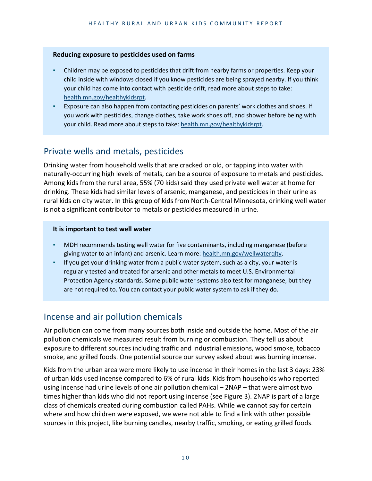#### **Reducing exposure to pesticides used on farms**

- Children may be exposed to pesticides that drift from nearby farms or properties. Keep your child inside with windows closed if you know pesticides are being sprayed nearby. If you think your child has come into contact with pesticide drift, read more about steps to take: [health.mn.gov/healthykidsrpt.](https://health.mn.gov/healthykidsrpt)
- Exposure can also happen from contacting pesticides on parents' work clothes and shoes. If you work with pesticides, change clothes, take work shoes off, and shower before being with your child. Read more about steps to take[: health.mn.gov/healthykidsrpt.](https://health.mn.gov/healthykidsrpt)

## Private wells and metals, pesticides

Drinking water from household wells that are cracked or old, or tapping into water with naturally-occurring high levels of metals, can be a source of exposure to metals and pesticides. Among kids from the rural area, 55% (70 kids) said they used private well water at home for drinking. These kids had similar levels of arsenic, manganese, and pesticides in their urine as rural kids on city water. In this group of kids from North-Central Minnesota, drinking well water is not a significant contributor to metals or pesticides measured in urine.

#### **It is important to test well water**

- MDH recommends testing well water for five contaminants, including manganese (before giving water to an infant) and arsenic. Learn more: [health.mn.gov/wellwaterqlty.](https://health.mn.gov/wellwaterqlty)
- If you get your drinking water from a public water system, such as a city, your water is regularly tested and treated for arsenic and other metals to meet U.S. Environmental Protection Agency standards. Some public water systems also test for manganese, but they are not required to. You can contact your public water system to ask if they do.

## Incense and air pollution chemicals

Air pollution can come from many sources both inside and outside the home. Most of the air pollution chemicals we measured result from burning or combustion. They tell us about exposure to different sources including traffic and industrial emissions, wood smoke, tobacco smoke, and grilled foods. One potential source our survey asked about was burning incense.

Kids from the urban area were more likely to use incense in their homes in the last 3 days: 23% of urban kids used incense compared to 6% of rural kids. Kids from households who reported using incense had urine levels of one air pollution chemical – 2NAP – that were almost two times higher than kids who did not report using incense (see Figure 3). 2NAP is part of a large class of chemicals created during combustion called PAHs. While we cannot say for certain where and how children were exposed, we were not able to find a link with other possible sources in this project, like burning candles, nearby traffic, smoking, or eating grilled foods.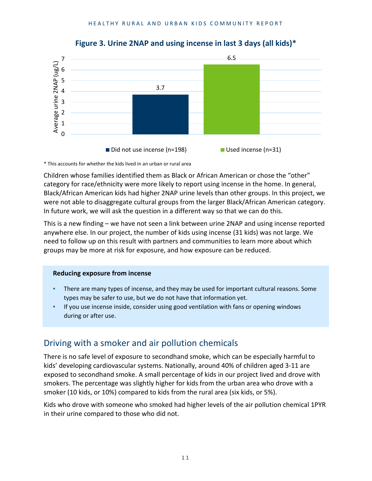

**Figure 3. Urine 2NAP and using incense in last 3 days (all kids)\***

\* This accounts for whether the kids lived in an urban or rural area

Children whose families identified them as Black or African American or chose the "other" category for race/ethnicity were more likely to report using incense in the home. In general, Black/African American kids had higher 2NAP urine levels than other groups. In this project, we were not able to disaggregate cultural groups from the larger Black/African American category. In future work, we will ask the question in a different way so that we can do this.

This is a new finding – we have not seen a link between urine 2NAP and using incense reported anywhere else. In our project, the number of kids using incense (31 kids) was not large. We need to follow up on this result with partners and communities to learn more about which groups may be more at risk for exposure, and how exposure can be reduced.

#### **Reducing exposure from incense**

- There are many types of incense, and they may be used for important cultural reasons. Some types may be safer to use, but we do not have that information yet.
- If you use incense inside, consider using good ventilation with fans or opening windows during or after use.

## Driving with a smoker and air pollution chemicals

There is no safe level of exposure to secondhand smoke, which can be especially harmful to kids' developing cardiovascular systems. Nationally, around 40% of children aged 3-11 are exposed to secondhand smoke. A small percentage of kids in our project lived and drove with smokers. The percentage was slightly higher for kids from the urban area who drove with a smoker (10 kids, or 10%) compared to kids from the rural area (six kids, or 5%).

Kids who drove with someone who smoked had higher levels of the air pollution chemical 1PYR in their urine compared to those who did not.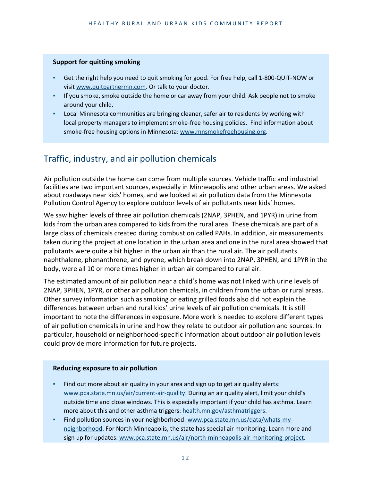#### **Support for quitting smoking**

- Get the right help you need to quit smoking for good. For free help, call 1-800-QUIT-NOW or visi[t www.quitpartnermn.com.](http://www.quitpartnermn.com/) Or talk to your doctor.
- If you smoke, smoke outside the home or car away from your child. Ask people not to smoke around your child.
- Local Minnesota communities are bringing cleaner, safer air to residents by working with local property managers to implement smoke-free housing policies. Find information about smoke-free housing options in Minnesota[: www.mnsmokefreehousing.org.](http://www.mnsmokefreehousing.org/)

## Traffic, industry, and air pollution chemicals

Air pollution outside the home can come from multiple sources. Vehicle traffic and industrial facilities are two important sources, especially in Minneapolis and other urban areas. We asked about roadways near kids' homes, and we looked at air pollution data from the Minnesota Pollution Control Agency to explore outdoor levels of air pollutants near kids' homes.

We saw higher levels of three air pollution chemicals (2NAP, 3PHEN, and 1PYR) in urine from kids from the urban area compared to kids from the rural area. These chemicals are part of a large class of chemicals created during combustion called PAHs. In addition, air measurements taken during the project at one location in the urban area and one in the rural area showed that pollutants were quite a bit higher in the urban air than the rural air. The air pollutants naphthalene, phenanthrene, and pyrene, which break down into 2NAP, 3PHEN, and 1PYR in the body, were all 10 or more times higher in urban air compared to rural air.

The estimated amount of air pollution near a child's home was not linked with urine levels of 2NAP, 3PHEN, 1PYR, or other air pollution chemicals, in children from the urban or rural areas. Other survey information such as smoking or eating grilled foods also did not explain the differences between urban and rural kids' urine levels of air pollution chemicals. It is still important to note the differences in exposure. More work is needed to explore different types of air pollution chemicals in urine and how they relate to outdoor air pollution and sources. In particular, household or neighborhood-specific information about outdoor air pollution levels could provide more information for future projects.

#### **Reducing exposure to air pollution**

- Find out more about air quality in your area and sign up to get air quality alerts: [www.pca.state.mn.us/air/current-air-quality.](http://www.pca.state.mn.us/air/current-air-quality) During an air quality alert, limit your child's outside time and close windows. This is especially important if your child has asthma. Learn more about this and other asthma triggers[: health.mn.gov/asthmatriggers.](https://health.mn.gov/asthmatriggers)
- Find pollution sources in your neighborhood: [www.pca.state.mn.us/data/whats-my](https://www.pca.state.mn.us/data/whats-my-neighborhood)[neighborhood.](https://www.pca.state.mn.us/data/whats-my-neighborhood) For North Minneapolis, the state has special air monitoring. Learn more and sign up for updates: [www.pca.state.mn.us/air/north-minneapolis-air-monitoring-project.](http://www.pca.state.mn.us/air/north-minneapolis-air-monitoring-project)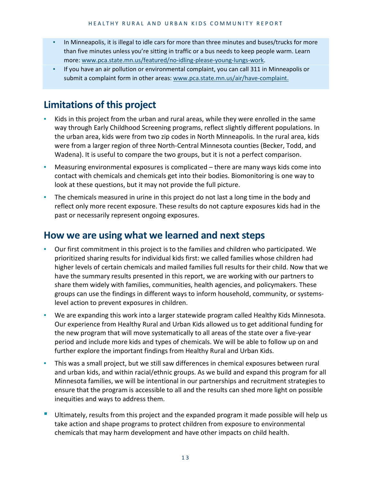- In Minneapolis, it is illegal to idle cars for more than three minutes and buses/trucks for more than five minutes unless you're sitting in traffic or a bus needs to keep people warm. Learn more[: www.pca.state.mn.us/featured/no-idling-please-young-lungs-work.](http://www.pca.state.mn.us/featured/no-idling-please-young-lungs-work)
- If you have an air pollution or environmental complaint, you can call 311 in Minneapolis or submit a complaint form in other areas: [www.pca.state.mn.us/air/have-complaint.](http://www.pca.state.mn.us/air/have-complaint)

## **Limitations of this project**

- Kids in this project from the urban and rural areas, while they were enrolled in the same way through Early Childhood Screening programs, reflect slightly different populations. In the urban area, kids were from two zip codes in North Minneapolis. In the rural area, kids were from a larger region of three North-Central Minnesota counties (Becker, Todd, and Wadena). It is useful to compare the two groups, but it is not a perfect comparison.
- Measuring environmental exposures is complicated there are many ways kids come into contact with chemicals and chemicals get into their bodies. Biomonitoring is one way to look at these questions, but it may not provide the full picture.
- The chemicals measured in urine in this project do not last a long time in the body and reflect only more recent exposure. These results do not capture exposures kids had in the past or necessarily represent ongoing exposures.

## **How we are using what we learned and next steps**

- Our first commitment in this project is to the families and children who participated. We prioritized sharing results for individual kids first: we called families whose children had higher levels of certain chemicals and mailed families full results for their child. Now that we have the summary results presented in this report, we are working with our partners to share them widely with families, communities, health agencies, and policymakers. These groups can use the findings in different ways to inform household, community, or systemslevel action to prevent exposures in children.
- We are expanding this work into a larger statewide program called Healthy Kids Minnesota. Our experience from Healthy Rural and Urban Kids allowed us to get additional funding for the new program that will move systematically to all areas of the state over a five-year period and include more kids and types of chemicals. We will be able to follow up on and further explore the important findings from Healthy Rural and Urban Kids.
- This was a small project, but we still saw differences in chemical exposures between rural and urban kids, and within racial/ethnic groups. As we build and expand this program for all Minnesota families, we will be intentional in our partnerships and recruitment strategies to ensure that the program is accessible to all and the results can shed more light on possible inequities and ways to address them.
- Ultimately, results from this project and the expanded program it made possible will help us take action and shape programs to protect children from exposure to environmental chemicals that may harm development and have other impacts on child health.